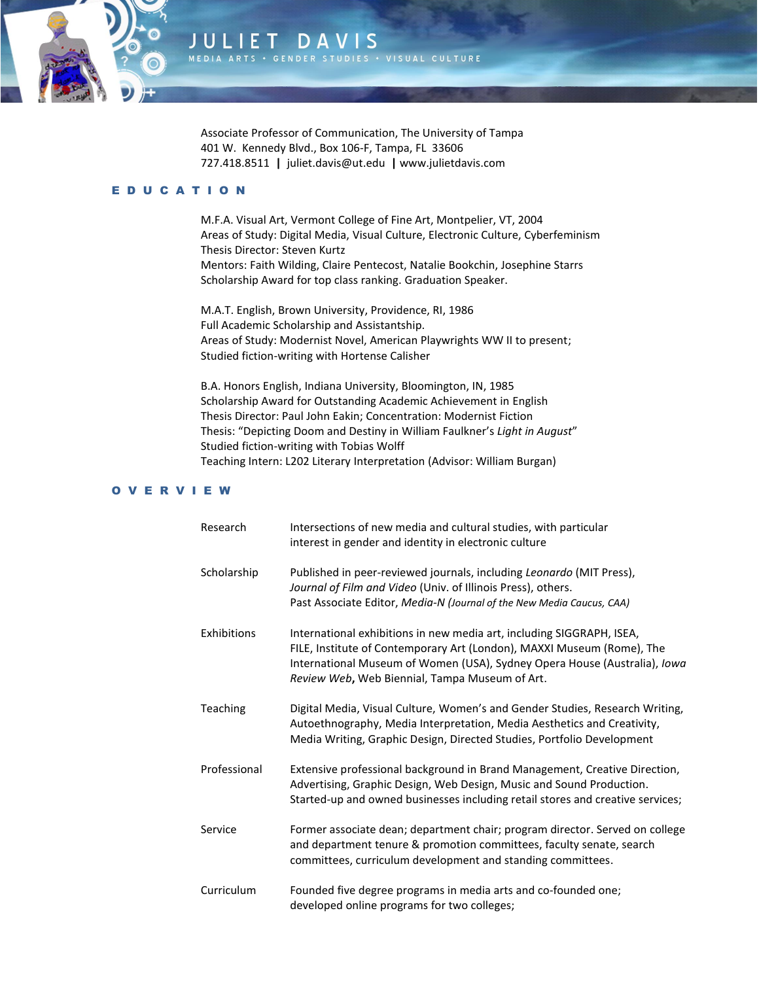

Associate Professor of Communication, The University of Tampa 401 W. Kennedy Blvd., Box 106-F, Tampa, FL 33606 727.418.8511 **|** juliet.davis@ut.edu **|** www.julietdavis.com

GENDER STUDIES + VISUAL CULTURE

# E D U C A T I O N

JULIET DA

M.F.A. Visual Art, Vermont College of Fine Art, Montpelier, VT, 2004 Areas of Study: Digital Media, Visual Culture, Electronic Culture, Cyberfeminism Thesis Director: Steven Kurtz Mentors: Faith Wilding, Claire Pentecost, Natalie Bookchin, Josephine Starrs Scholarship Award for top class ranking. Graduation Speaker.

M.A.T. English, Brown University, Providence, RI, 1986 Full Academic Scholarship and Assistantship. Areas of Study: Modernist Novel, American Playwrights WW II to present; Studied fiction-writing with Hortense Calisher

B.A. Honors English, Indiana University, Bloomington, IN, 1985 Scholarship Award for Outstanding Academic Achievement in English Thesis Director: Paul John Eakin; Concentration: Modernist Fiction Thesis: "Depicting Doom and Destiny in William Faulkner's *Light in August*" Studied fiction-writing with Tobias Wolff Teaching Intern: L202 Literary Interpretation (Advisor: William Burgan)

# O V E R V I E W

| Research     | Intersections of new media and cultural studies, with particular<br>interest in gender and identity in electronic culture                                                                                                                                                      |
|--------------|--------------------------------------------------------------------------------------------------------------------------------------------------------------------------------------------------------------------------------------------------------------------------------|
| Scholarship  | Published in peer-reviewed journals, including Leonardo (MIT Press),<br>Journal of Film and Video (Univ. of Illinois Press), others.<br>Past Associate Editor, Media-N (Journal of the New Media Caucus, CAA)                                                                  |
| Exhibitions  | International exhibitions in new media art, including SIGGRAPH, ISEA,<br>FILE, Institute of Contemporary Art (London), MAXXI Museum (Rome), The<br>International Museum of Women (USA), Sydney Opera House (Australia), Iowa<br>Review Web, Web Biennial, Tampa Museum of Art. |
| Teaching     | Digital Media, Visual Culture, Women's and Gender Studies, Research Writing,<br>Autoethnography, Media Interpretation, Media Aesthetics and Creativity,<br>Media Writing, Graphic Design, Directed Studies, Portfolio Development                                              |
| Professional | Extensive professional background in Brand Management, Creative Direction,<br>Advertising, Graphic Design, Web Design, Music and Sound Production.<br>Started-up and owned businesses including retail stores and creative services;                                           |
| Service      | Former associate dean; department chair; program director. Served on college<br>and department tenure & promotion committees, faculty senate, search<br>committees, curriculum development and standing committees.                                                            |
| Curriculum   | Founded five degree programs in media arts and co-founded one;<br>developed online programs for two colleges;                                                                                                                                                                  |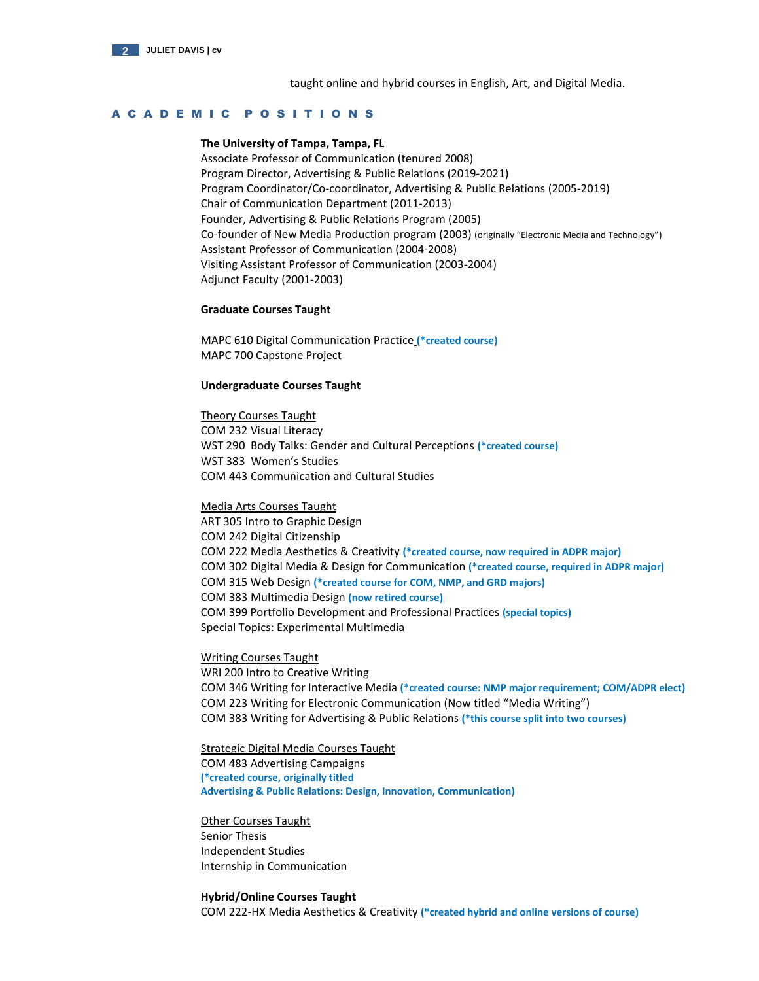

taught online and hybrid courses in English, Art, and Digital Media.

# A C A D E M I C P O S I T I O N S

## **The University of Tampa, Tampa, FL**

Associate Professor of Communication (tenured 2008) Program Director, Advertising & Public Relations (2019-2021) Program Coordinator/Co-coordinator, Advertising & Public Relations (2005-2019) Chair of Communication Department (2011-2013) Founder, Advertising & Public Relations Program (2005) Co-founder of New Media Production program (2003) (originally "Electronic Media and Technology") Assistant Professor of Communication (2004-2008) Visiting Assistant Professor of Communication (2003-2004) Adjunct Faculty (2001-2003)

## **Graduate Courses Taught**

MAPC 610 Digital Communication Practice **(\*created course)** MAPC 700 Capstone Project

## **Undergraduate Courses Taught**

Theory Courses Taught COM 232 Visual Literacy WST 290 Body Talks: Gender and Cultural Perceptions **(\*created course)** WST 383 Women's Studies COM 443 Communication and Cultural Studies

### Media Arts Courses Taught

ART 305 Intro to Graphic Design COM 242 Digital Citizenship COM 222 Media Aesthetics & Creativity **(\*created course, now required in ADPR major)** COM 302 Digital Media & Design for Communication **(\*created course, required in ADPR major)** COM 315 Web Design **(\*created course for COM, NMP, and GRD majors)** COM 383 Multimedia Design **(now retired course)** COM 399 Portfolio Development and Professional Practices **(special topics)** Special Topics: Experimental Multimedia

## Writing Courses Taught

WRI 200 Intro to Creative Writing COM 346 Writing for Interactive Media **(\*created course: NMP major requirement; COM/ADPR elect)** COM 223 Writing for Electronic Communication (Now titled "Media Writing") COM 383 Writing for Advertising & Public Relations **(\*this course split into two courses)**

# Strategic Digital Media Courses Taught

COM 483 Advertising Campaigns **(\*created course, originally titled Advertising & Public Relations: Design, Innovation, Communication)**

Other Courses Taught Senior Thesis Independent Studies Internship in Communication

### **Hybrid/Online Courses Taught**

COM 222-HX Media Aesthetics & Creativity **(\*created hybrid and online versions of course)**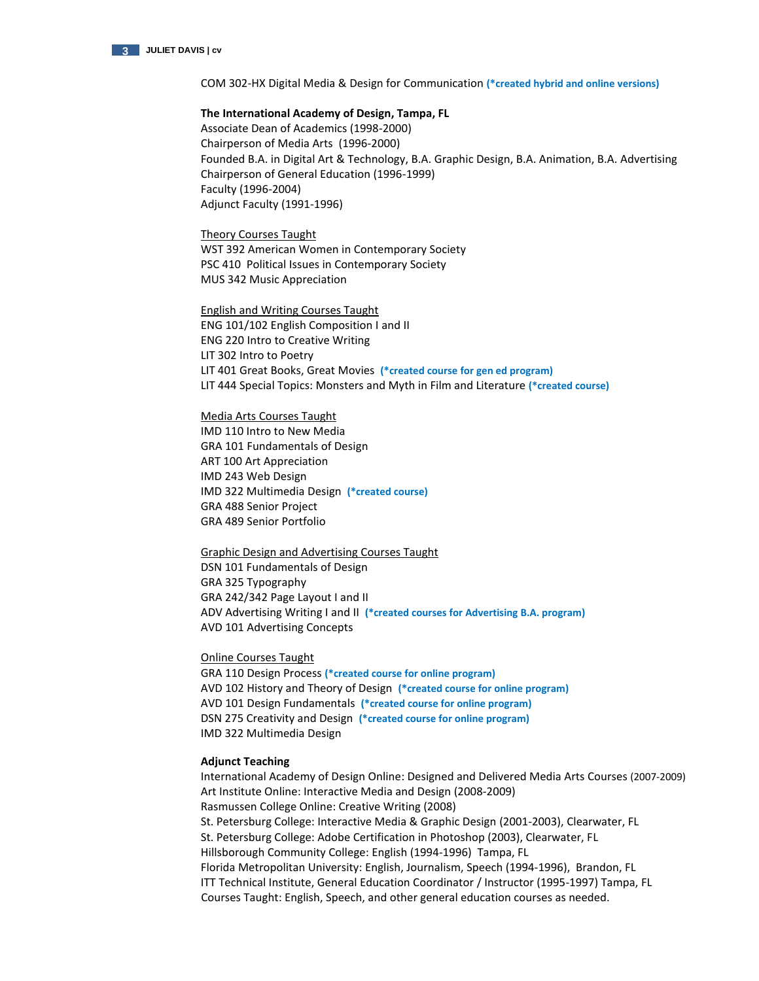

COM 302-HX Digital Media & Design for Communication **(\*created hybrid and online versions)**

### **The International Academy of Design, Tampa, FL**

Associate Dean of Academics (1998-2000) Chairperson of Media Arts (1996-2000) Founded B.A. in Digital Art & Technology, B.A. Graphic Design, B.A. Animation, B.A. Advertising Chairperson of General Education (1996-1999) Faculty (1996-2004) Adjunct Faculty (1991-1996)

Theory Courses Taught WST 392 American Women in Contemporary Society PSC 410 Political Issues in Contemporary Society MUS 342 Music Appreciation

English and Writing Courses Taught ENG 101/102 English Composition I and II ENG 220 Intro to Creative Writing LIT 302 Intro to Poetry LIT 401 Great Books, Great Movies **(\*created course for gen ed program)** LIT 444 Special Topics: Monsters and Myth in Film and Literature **(\*created course)**

### Media Arts Courses Taught

IMD 110 Intro to New Media GRA 101 Fundamentals of Design ART 100 Art Appreciation IMD 243 Web Design IMD 322 Multimedia Design **(\*created course)** GRA 488 Senior Project GRA 489 Senior Portfolio

Graphic Design and Advertising Courses Taught DSN 101 Fundamentals of Design GRA 325 Typography GRA 242/342 Page Layout I and II ADV Advertising Writing I and II **(\*created courses for Advertising B.A. program)** AVD 101 Advertising Concepts

# Online Courses Taught

GRA 110 Design Process **(\*created course for online program)** AVD 102 History and Theory of Design **(\*created course for online program)** AVD 101 Design Fundamentals **(\*created course for online program)** DSN 275 Creativity and Design **(\*created course for online program)** IMD 322 Multimedia Design

# **Adjunct Teaching**

International Academy of Design Online: Designed and Delivered Media Arts Courses (2007-2009) Art Institute Online: Interactive Media and Design (2008-2009) Rasmussen College Online: Creative Writing (2008) St. Petersburg College: Interactive Media & Graphic Design (2001-2003), Clearwater, FL St. Petersburg College: Adobe Certification in Photoshop (2003), Clearwater, FL Hillsborough Community College: English (1994-1996) Tampa, FL Florida Metropolitan University: English, Journalism, Speech (1994-1996), Brandon, FL ITT Technical Institute, General Education Coordinator / Instructor (1995-1997) Tampa, FL Courses Taught: English, Speech, and other general education courses as needed.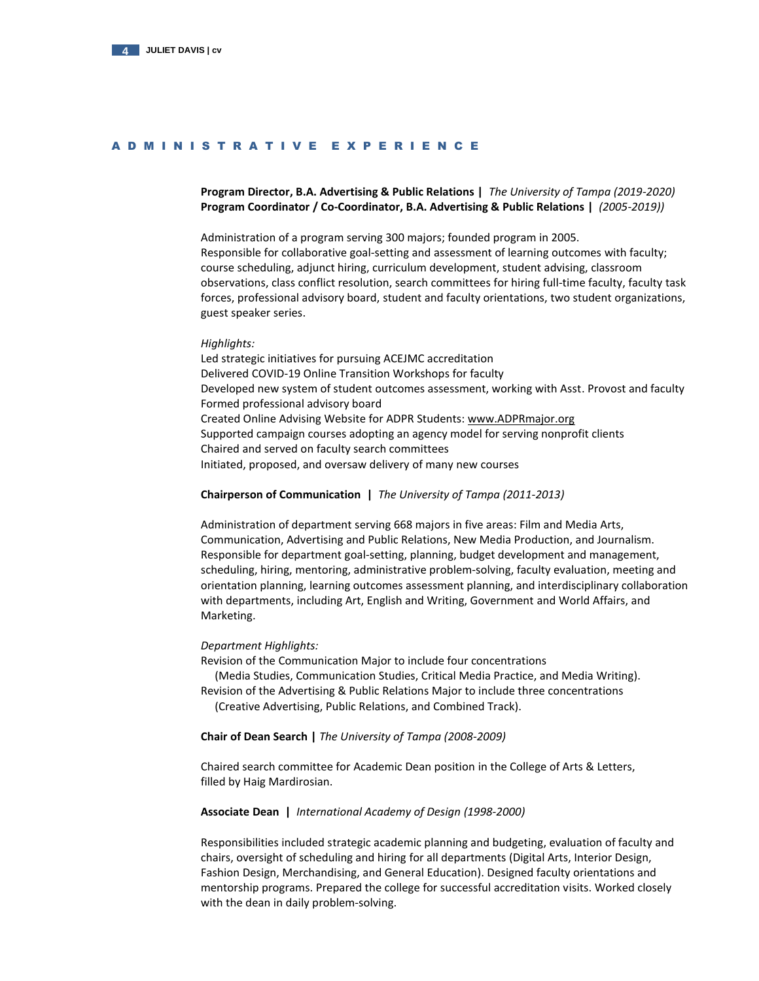

# A D M I N I S T R A T I V E E X P E R I E N C E

# **Program Director, B.A. Advertising & Public Relations |** *The University of Tampa (2019-2020)* **Program Coordinator / Co-Coordinator, B.A. Advertising & Public Relations |** *(2005-2019))*

Administration of a program serving 300 majors; founded program in 2005. Responsible for collaborative goal-setting and assessment of learning outcomes with faculty; course scheduling, adjunct hiring, curriculum development, student advising, classroom observations, class conflict resolution, search committees for hiring full-time faculty, faculty task forces, professional advisory board, student and faculty orientations, two student organizations, guest speaker series.

### *Highlights:*

Led strategic initiatives for pursuing ACEJMC accreditation Delivered COVID-19 Online Transition Workshops for faculty Developed new system of student outcomes assessment, working with Asst. Provost and faculty Formed professional advisory board Created Online Advising Website for ADPR Students[: www.ADPRmajor.org](http://www.adprmajor.org/) Supported campaign courses adopting an agency model for serving nonprofit clients Chaired and served on faculty search committees Initiated, proposed, and oversaw delivery of many new courses

### **Chairperson of Communication |** *The University of Tampa (2011-2013)*

Administration of department serving 668 majors in five areas: Film and Media Arts, Communication, Advertising and Public Relations, New Media Production, and Journalism. Responsible for department goal-setting, planning, budget development and management, scheduling, hiring, mentoring, administrative problem-solving, faculty evaluation, meeting and orientation planning, learning outcomes assessment planning, and interdisciplinary collaboration with departments, including Art, English and Writing, Government and World Affairs, and Marketing.

## *Department Highlights:*

Revision of the Communication Major to include four concentrations

 (Media Studies, Communication Studies, Critical Media Practice, and Media Writing). Revision of the Advertising & Public Relations Major to include three concentrations

(Creative Advertising, Public Relations, and Combined Track).

# **Chair of Dean Search |** *The University of Tampa (2008-2009)*

Chaired search committee for Academic Dean position in the College of Arts & Letters, filled by Haig Mardirosian.

### **Associate Dean |** *International Academy of Design (1998-2000)*

Responsibilities included strategic academic planning and budgeting, evaluation of faculty and chairs, oversight of scheduling and hiring for all departments (Digital Arts, Interior Design, Fashion Design, Merchandising, and General Education). Designed faculty orientations and mentorship programs. Prepared the college for successful accreditation visits. Worked closely with the dean in daily problem-solving.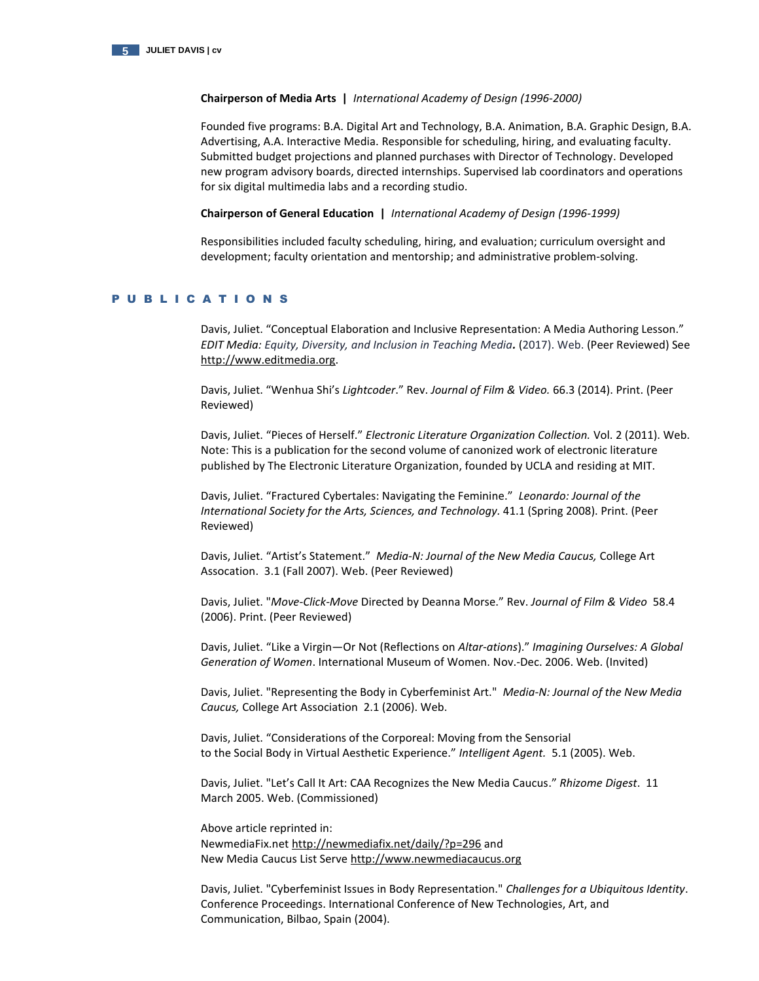

## **Chairperson of Media Arts |** *International Academy of Design (1996-2000)*

Founded five programs: B.A. Digital Art and Technology, B.A. Animation, B.A. Graphic Design, B.A. Advertising, A.A. Interactive Media. Responsible for scheduling, hiring, and evaluating faculty. Submitted budget projections and planned purchases with Director of Technology. Developed new program advisory boards, directed internships. Supervised lab coordinators and operations for six digital multimedia labs and a recording studio.

**Chairperson of General Education |** *International Academy of Design (1996-1999)*

Responsibilities included faculty scheduling, hiring, and evaluation; curriculum oversight and development; faculty orientation and mentorship; and administrative problem-solving.

# P U B L I C A T I O N S

Davis, Juliet. "Conceptual Elaboration and Inclusive Representation: A Media Authoring Lesson." *EDIT Media: Equity, Diversity, and Inclusion in Teaching Media.* (2017). Web. (Peer Reviewed) See [http://www.editmedia.org.](http://www.editmedia.org/)

Davis, Juliet. "Wenhua Shi's *Lightcoder*." Rev. *Journal of Film & Video.* 66.3 (2014). Print. (Peer Reviewed)

Davis, Juliet. "Pieces of Herself." *Electronic Literature Organization Collection.* Vol. 2 (2011). Web. Note: This is a publication for the second volume of canonized work of electronic literature published by The Electronic Literature Organization, founded by UCLA and residing at MIT.

Davis, Juliet. "Fractured Cybertales: Navigating the Feminine." *Leonardo: Journal of the International Society for the Arts, Sciences, and Technology.* 41.1 (Spring 2008). Print. (Peer Reviewed)

Davis, Juliet. "Artist's Statement." *Media-N: Journal of the New Media Caucus,* College Art Assocation.3.1 (Fall 2007). Web. (Peer Reviewed)

Davis, Juliet. "*Move-Click-Move* Directed by Deanna Morse." Rev. *Journal of Film & Video* 58.4 (2006). Print. (Peer Reviewed)

Davis, Juliet. "Like a Virgin—Or Not (Reflections on *Altar-ations*)." *Imagining Ourselves: A Global Generation of Women*. International Museum of Women. Nov.-Dec. 2006. Web. (Invited)

Davis, Juliet. "Representing the Body in Cyberfeminist Art." *Media-N: Journal of the New Media Caucus,* College Art Association 2.1 (2006). Web.

Davis, Juliet. "Considerations of the Corporeal: Moving from the Sensorial to the Social Body in Virtual Aesthetic Experience." *Intelligent Agent.* 5.1 (2005). Web.

Davis, Juliet. "Let's Call It Art: CAA Recognizes the New Media Caucus." *Rhizome Digest*. 11 March 2005. Web. (Commissioned)

Above article reprinted in: NewmediaFix.ne[t http://newmediafix.net/daily/?p=296](http://newmediafix.net/daily/?p=296) and New Media Caucus List Serve [http://www.newmediacaucus.org](http://www.newmediacaucus.org/)

Davis, Juliet. "Cyberfeminist Issues in Body Representation." *Challenges for a Ubiquitous Identity*. Conference Proceedings. International Conference of New Technologies, Art, and Communication, Bilbao, Spain (2004).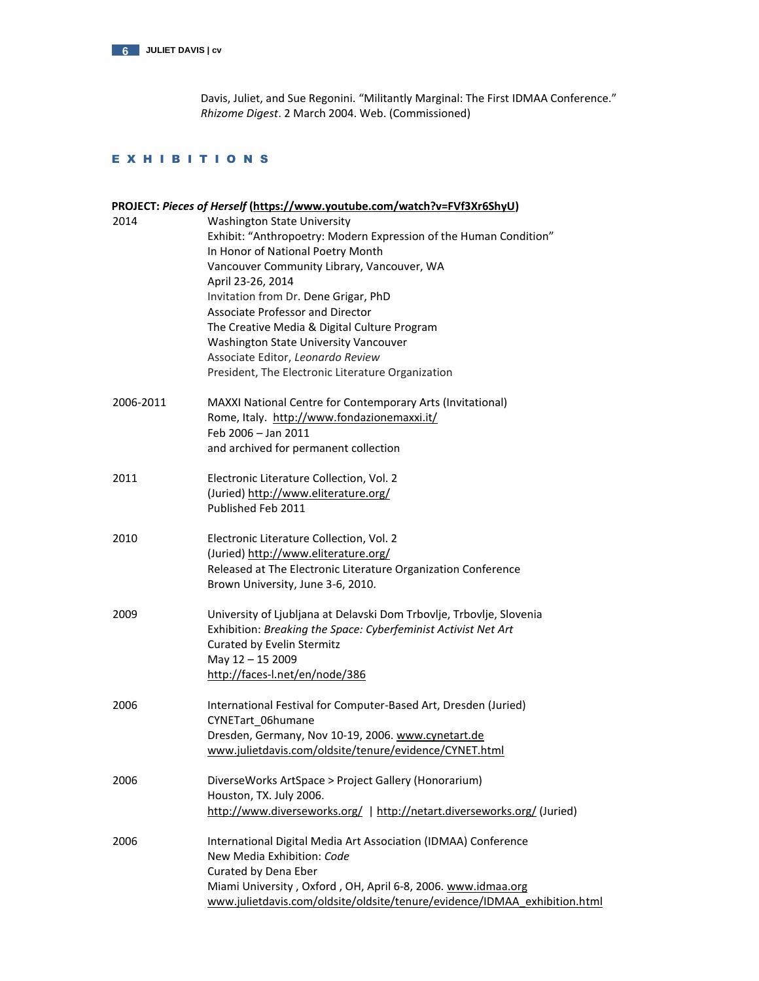

Davis, Juliet, and Sue Regonini. "Militantly Marginal: The First IDMAA Conference." *Rhizome Digest*. 2 March 2004. Web. (Commissioned)

# E X H I B I T I O N S

|           | PROJECT: Pieces of Herself (https://www.youtube.com/watch?v=FVf3Xr6ShyU)                                                                                                                                                                                                                                                                                                                                                                                                              |
|-----------|---------------------------------------------------------------------------------------------------------------------------------------------------------------------------------------------------------------------------------------------------------------------------------------------------------------------------------------------------------------------------------------------------------------------------------------------------------------------------------------|
| 2014      | <b>Washington State University</b><br>Exhibit: "Anthropoetry: Modern Expression of the Human Condition"<br>In Honor of National Poetry Month<br>Vancouver Community Library, Vancouver, WA<br>April 23-26, 2014<br>Invitation from Dr. Dene Grigar, PhD<br><b>Associate Professor and Director</b><br>The Creative Media & Digital Culture Program<br>Washington State University Vancouver<br>Associate Editor, Leonardo Review<br>President, The Electronic Literature Organization |
| 2006-2011 | MAXXI National Centre for Contemporary Arts (Invitational)<br>Rome, Italy. http://www.fondazionemaxxi.it/<br>Feb 2006 - Jan 2011<br>and archived for permanent collection                                                                                                                                                                                                                                                                                                             |
| 2011      | Electronic Literature Collection, Vol. 2<br>(Juried) http://www.eliterature.org/<br>Published Feb 2011                                                                                                                                                                                                                                                                                                                                                                                |
| 2010      | Electronic Literature Collection, Vol. 2<br>(Juried) http://www.eliterature.org/<br>Released at The Electronic Literature Organization Conference<br>Brown University, June 3-6, 2010.                                                                                                                                                                                                                                                                                                |
| 2009      | University of Ljubljana at Delavski Dom Trbovlje, Trbovlje, Slovenia<br>Exhibition: Breaking the Space: Cyberfeminist Activist Net Art<br>Curated by Evelin Stermitz<br>May 12 - 15 2009<br>http://faces-l.net/en/node/386                                                                                                                                                                                                                                                            |
| 2006      | International Festival for Computer-Based Art, Dresden (Juried)<br>CYNETart 06humane<br>Dresden, Germany, Nov 10-19, 2006. www.cynetart.de<br>www.julietdavis.com/oldsite/tenure/evidence/CYNET.html                                                                                                                                                                                                                                                                                  |
| 2006      | DiverseWorks ArtSpace > Project Gallery (Honorarium)<br>Houston, TX. July 2006.<br>http://www.diverseworks.org/   http://netart.diverseworks.org/ (Juried)                                                                                                                                                                                                                                                                                                                            |
| 2006      | International Digital Media Art Association (IDMAA) Conference<br>New Media Exhibition: Code<br>Curated by Dena Eber<br>Miami University, Oxford, OH, April 6-8, 2006. www.idmaa.org<br>www.julietdavis.com/oldsite/oldsite/tenure/evidence/IDMAA_exhibition.html                                                                                                                                                                                                                     |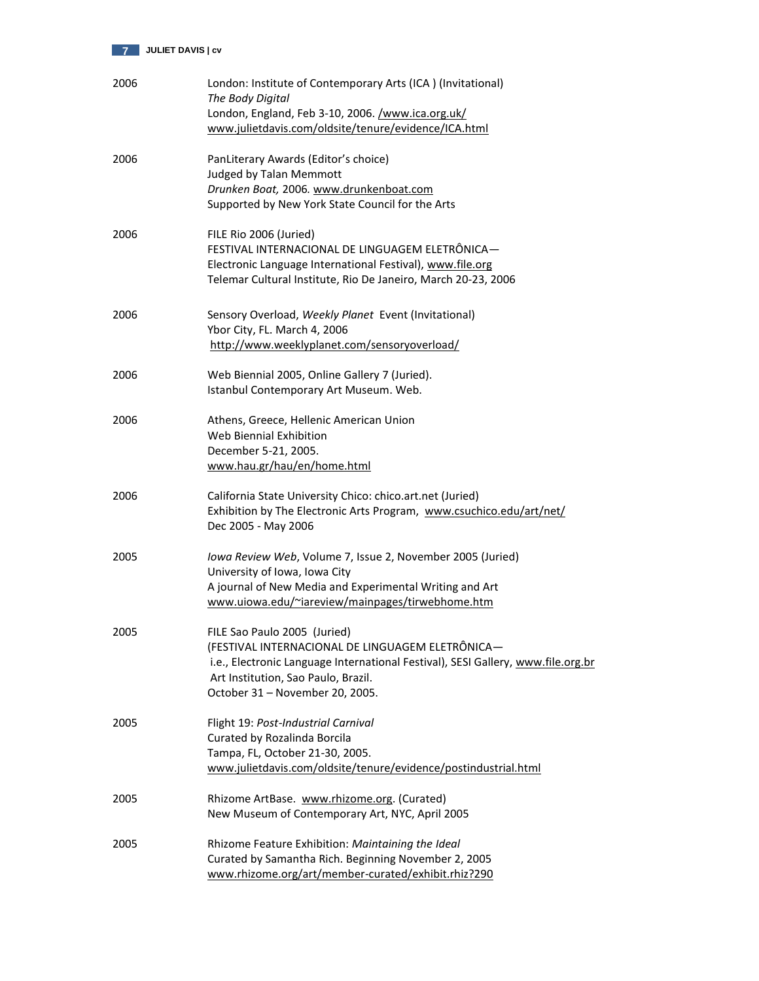

| 2006 | London: Institute of Contemporary Arts (ICA) (Invitational)<br>The Body Digital<br>London, England, Feb 3-10, 2006. /www.ica.org.uk/<br>www.julietdavis.com/oldsite/tenure/evidence/ICA.html                                                   |
|------|------------------------------------------------------------------------------------------------------------------------------------------------------------------------------------------------------------------------------------------------|
| 2006 | PanLiterary Awards (Editor's choice)<br><b>Judged by Talan Memmott</b><br>Drunken Boat, 2006. www.drunkenboat.com<br>Supported by New York State Council for the Arts                                                                          |
| 2006 | FILE Rio 2006 (Juried)<br>FESTIVAL INTERNACIONAL DE LINGUAGEM ELETRÔNICA-<br>Electronic Language International Festival), www.file.org<br>Telemar Cultural Institute, Rio De Janeiro, March 20-23, 2006                                        |
| 2006 | Sensory Overload, Weekly Planet Event (Invitational)<br>Ybor City, FL. March 4, 2006<br>http://www.weeklyplanet.com/sensoryoverload/                                                                                                           |
| 2006 | Web Biennial 2005, Online Gallery 7 (Juried).<br>Istanbul Contemporary Art Museum. Web.                                                                                                                                                        |
| 2006 | Athens, Greece, Hellenic American Union<br>Web Biennial Exhibition<br>December 5-21, 2005.<br>www.hau.gr/hau/en/home.html                                                                                                                      |
| 2006 | California State University Chico: chico.art.net (Juried)<br>Exhibition by The Electronic Arts Program, www.csuchico.edu/art/net/<br>Dec 2005 - May 2006                                                                                       |
| 2005 | Iowa Review Web, Volume 7, Issue 2, November 2005 (Juried)<br>University of Iowa, Iowa City<br>A journal of New Media and Experimental Writing and Art<br>www.uiowa.edu/~iareview/mainpages/tirwebhome.htm                                     |
| 2005 | FILE Sao Paulo 2005 (Juried)<br>(FESTIVAL INTERNACIONAL DE LINGUAGEM ELETRÔNICA-<br>i.e., Electronic Language International Festival), SESI Gallery, www.file.org.br<br>Art Institution, Sao Paulo, Brazil.<br>October 31 - November 20, 2005. |
| 2005 | Flight 19: Post-Industrial Carnival<br>Curated by Rozalinda Borcila<br>Tampa, FL, October 21-30, 2005.<br>www.julietdavis.com/oldsite/tenure/evidence/postindustrial.html                                                                      |
| 2005 | Rhizome ArtBase. www.rhizome.org. (Curated)<br>New Museum of Contemporary Art, NYC, April 2005                                                                                                                                                 |
| 2005 | Rhizome Feature Exhibition: Maintaining the Ideal<br>Curated by Samantha Rich. Beginning November 2, 2005<br>www.rhizome.org/art/member-curated/exhibit.rhiz?290                                                                               |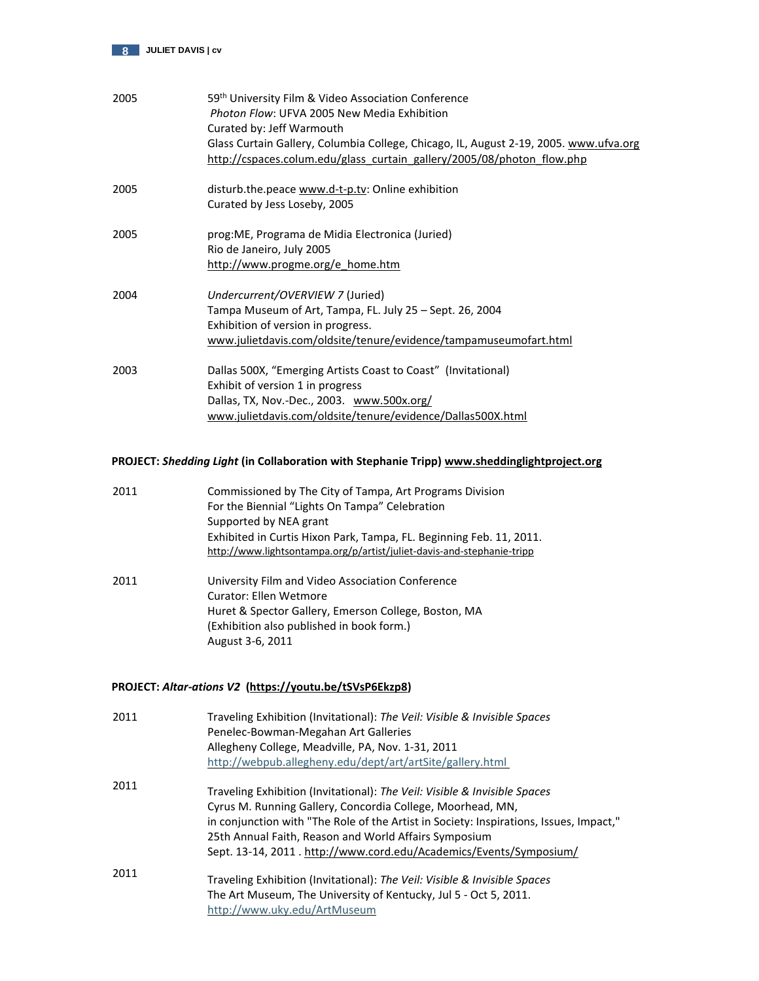

| 2005 | 59 <sup>th</sup> University Film & Video Association Conference<br>Photon Flow: UFVA 2005 New Media Exhibition<br>Curated by: Jeff Warmouth<br>Glass Curtain Gallery, Columbia College, Chicago, IL, August 2-19, 2005. www.ufva.org<br>http://cspaces.colum.edu/glass_curtain_gallery/2005/08/photon_flow.php |
|------|----------------------------------------------------------------------------------------------------------------------------------------------------------------------------------------------------------------------------------------------------------------------------------------------------------------|
| 2005 | disturb.the.peace www.d-t-p.tv: Online exhibition<br>Curated by Jess Loseby, 2005                                                                                                                                                                                                                              |
| 2005 | prog: ME, Programa de Midia Electronica (Juried)<br>Rio de Janeiro, July 2005<br>http://www.progme.org/e home.htm                                                                                                                                                                                              |
| 2004 | Undercurrent/OVERVIEW 7 (Juried)<br>Tampa Museum of Art, Tampa, FL. July 25 – Sept. 26, 2004<br>Exhibition of version in progress.<br>www.julietdavis.com/oldsite/tenure/evidence/tampamuseumofart.html                                                                                                        |
| 2003 | Dallas 500X, "Emerging Artists Coast to Coast" (Invitational)<br>Exhibit of version 1 in progress<br>Dallas, TX, Nov.-Dec., 2003. www.500x.org/<br>www.julietdavis.com/oldsite/tenure/evidence/Dallas500X.html                                                                                                 |

# **PROJECT:** *Shedding Light* **(in Collaboration with Stephanie Tripp[\) www.sheddinglightproject.org](http://www.sheddinglightproject.org/)**

| 2011 | Commissioned by The City of Tampa, Art Programs Division<br>For the Biennial "Lights On Tampa" Celebration                                    |
|------|-----------------------------------------------------------------------------------------------------------------------------------------------|
|      | Supported by NEA grant                                                                                                                        |
|      | Exhibited in Curtis Hixon Park, Tampa, FL. Beginning Feb. 11, 2011.<br>http://www.lightsontampa.org/p/artist/juliet-davis-and-stephanie-tripp |
| 2011 | University Film and Video Association Conference<br>Curator: Ellen Wetmore                                                                    |
|      | Huret & Spector Gallery, Emerson College, Boston, MA                                                                                          |
|      | (Exhibition also published in book form.)                                                                                                     |
|      | August 3-6, 2011                                                                                                                              |
|      | PROJECT: Altar-ations V2 (https://youtu.be/tSVsP6Ekzp8)                                                                                       |

| 2011 | Traveling Exhibition (Invitational): The Veil: Visible & Invisible Spaces<br>Penelec-Bowman-Megahan Art Galleries |
|------|-------------------------------------------------------------------------------------------------------------------|
|      | Allegheny College, Meadville, PA, Nov. 1-31, 2011                                                                 |
|      | http://webpub.allegheny.edu/dept/art/artSite/gallery.html                                                         |
| 2011 |                                                                                                                   |
|      | Traveling Exhibition (Invitational): The Veil: Visible & Invisible Spaces                                         |
|      | Cyrus M. Running Gallery, Concordia College, Moorhead, MN,                                                        |
|      | in conjunction with "The Role of the Artist in Society: Inspirations, Issues, Impact,"                            |
|      | 25th Annual Faith, Reason and World Affairs Symposium                                                             |
|      | Sept. 13-14, 2011. http://www.cord.edu/Academics/Events/Symposium/                                                |
| 2011 |                                                                                                                   |
|      | Traveling Exhibition (Invitational): The Veil: Visible & Invisible Spaces                                         |
|      | The Art Museum, The University of Kentucky, Jul 5 - Oct 5, 2011.                                                  |
|      | http://www.uky.edu/ArtMuseum                                                                                      |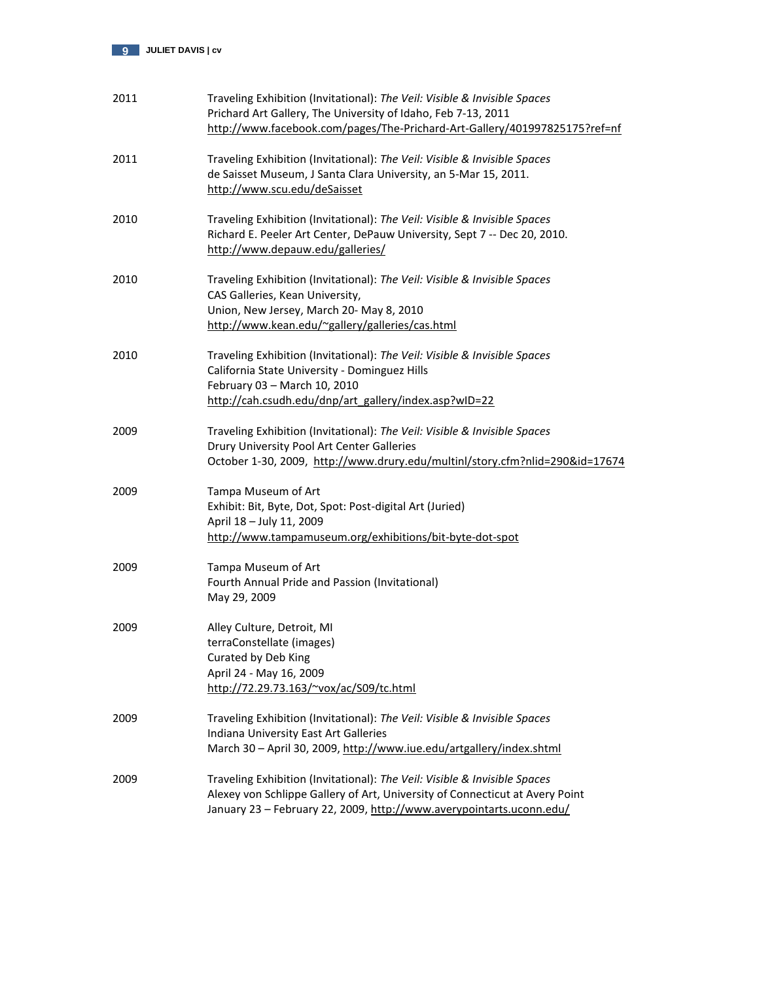

| 2011 | Traveling Exhibition (Invitational): The Veil: Visible & Invisible Spaces<br>Prichard Art Gallery, The University of Idaho, Feb 7-13, 2011<br>http://www.facebook.com/pages/The-Prichard-Art-Gallery/401997825175?ref=nf          |
|------|-----------------------------------------------------------------------------------------------------------------------------------------------------------------------------------------------------------------------------------|
| 2011 | Traveling Exhibition (Invitational): The Veil: Visible & Invisible Spaces<br>de Saisset Museum, J Santa Clara University, an 5-Mar 15, 2011.<br>http://www.scu.edu/deSaisset                                                      |
| 2010 | Traveling Exhibition (Invitational): The Veil: Visible & Invisible Spaces<br>Richard E. Peeler Art Center, DePauw University, Sept 7 -- Dec 20, 2010.<br>http://www.depauw.edu/galleries/                                         |
| 2010 | Traveling Exhibition (Invitational): The Veil: Visible & Invisible Spaces<br>CAS Galleries, Kean University,<br>Union, New Jersey, March 20- May 8, 2010<br>http://www.kean.edu/~gallery/galleries/cas.html                       |
| 2010 | Traveling Exhibition (Invitational): The Veil: Visible & Invisible Spaces<br>California State University - Dominguez Hills<br>February 03 - March 10, 2010<br>http://cah.csudh.edu/dnp/art_gallery/index.asp?wID=22               |
| 2009 | Traveling Exhibition (Invitational): The Veil: Visible & Invisible Spaces<br>Drury University Pool Art Center Galleries<br>October 1-30, 2009, http://www.drury.edu/multinl/story.cfm?nlid=290&id=17674                           |
| 2009 | Tampa Museum of Art<br>Exhibit: Bit, Byte, Dot, Spot: Post-digital Art (Juried)<br>April 18 - July 11, 2009<br>http://www.tampamuseum.org/exhibitions/bit-byte-dot-spot                                                           |
| 2009 | Tampa Museum of Art<br>Fourth Annual Pride and Passion (Invitational)<br>May 29, 2009                                                                                                                                             |
| 2009 | Alley Culture, Detroit, MI<br>terraConstellate (images)<br>Curated by Deb King<br>April 24 - May 16, 2009<br>http://72.29.73.163/~vox/ac/S09/tc.html                                                                              |
| 2009 | Traveling Exhibition (Invitational): The Veil: Visible & Invisible Spaces<br>Indiana University East Art Galleries<br>March 30 - April 30, 2009, http://www.iue.edu/artgallery/index.shtml                                        |
| 2009 | Traveling Exhibition (Invitational): The Veil: Visible & Invisible Spaces<br>Alexey von Schlippe Gallery of Art, University of Connecticut at Avery Point<br>January 23 - February 22, 2009, http://www.averypointarts.uconn.edu/ |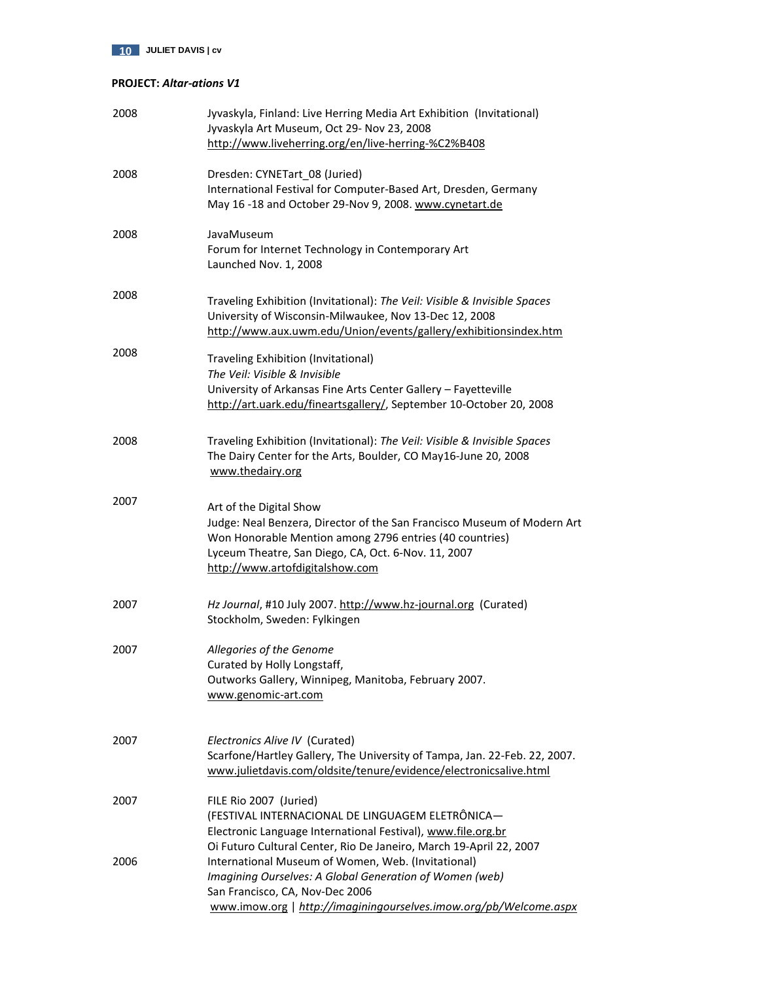# **PROJECT:** *Altar-ations V1*

| 2008 | Jyvaskyla, Finland: Live Herring Media Art Exhibition (Invitational)<br>Jyvaskyla Art Museum, Oct 29- Nov 23, 2008<br>http://www.liveherring.org/en/live-herring-%C2%B408                                                                                                                   |
|------|---------------------------------------------------------------------------------------------------------------------------------------------------------------------------------------------------------------------------------------------------------------------------------------------|
| 2008 | Dresden: CYNETart_08 (Juried)<br>International Festival for Computer-Based Art, Dresden, Germany<br>May 16 -18 and October 29-Nov 9, 2008. www.cynetart.de                                                                                                                                  |
| 2008 | JavaMuseum<br>Forum for Internet Technology in Contemporary Art<br>Launched Nov. 1, 2008                                                                                                                                                                                                    |
| 2008 | Traveling Exhibition (Invitational): The Veil: Visible & Invisible Spaces<br>University of Wisconsin-Milwaukee, Nov 13-Dec 12, 2008<br>http://www.aux.uwm.edu/Union/events/gallery/exhibitionsindex.htm                                                                                     |
| 2008 | Traveling Exhibition (Invitational)<br>The Veil: Visible & Invisible<br>University of Arkansas Fine Arts Center Gallery - Fayetteville<br>http://art.uark.edu/fineartsgallery/, September 10-October 20, 2008                                                                               |
| 2008 | Traveling Exhibition (Invitational): The Veil: Visible & Invisible Spaces<br>The Dairy Center for the Arts, Boulder, CO May16-June 20, 2008<br>www.thedairy.org                                                                                                                             |
| 2007 | Art of the Digital Show<br>Judge: Neal Benzera, Director of the San Francisco Museum of Modern Art<br>Won Honorable Mention among 2796 entries (40 countries)<br>Lyceum Theatre, San Diego, CA, Oct. 6-Nov. 11, 2007<br>http://www.artofdigitalshow.com                                     |
| 2007 | Hz Journal, #10 July 2007. http://www.hz-journal.org (Curated)<br>Stockholm, Sweden: Fylkingen                                                                                                                                                                                              |
| 2007 | Allegories of the Genome<br>Curated by Holly Longstaff,<br>Outworks Gallery, Winnipeg, Manitoba, February 2007.<br>www.genomic-art.com                                                                                                                                                      |
| 2007 | Electronics Alive IV (Curated)<br>Scarfone/Hartley Gallery, The University of Tampa, Jan. 22-Feb. 22, 2007.<br>www.julietdavis.com/oldsite/tenure/evidence/electronicsalive.html                                                                                                            |
| 2007 | FILE Rio 2007 (Juried)<br>(FESTIVAL INTERNACIONAL DE LINGUAGEM ELETRÔNICA-<br>Electronic Language International Festival), www.file.org.br                                                                                                                                                  |
| 2006 | Oi Futuro Cultural Center, Rio De Janeiro, March 19-April 22, 2007<br>International Museum of Women, Web. (Invitational)<br>Imagining Ourselves: A Global Generation of Women (web)<br>San Francisco, CA, Nov-Dec 2006<br>www.imow.org   http://imaginingourselves.imow.org/pb/Welcome.aspx |
|      |                                                                                                                                                                                                                                                                                             |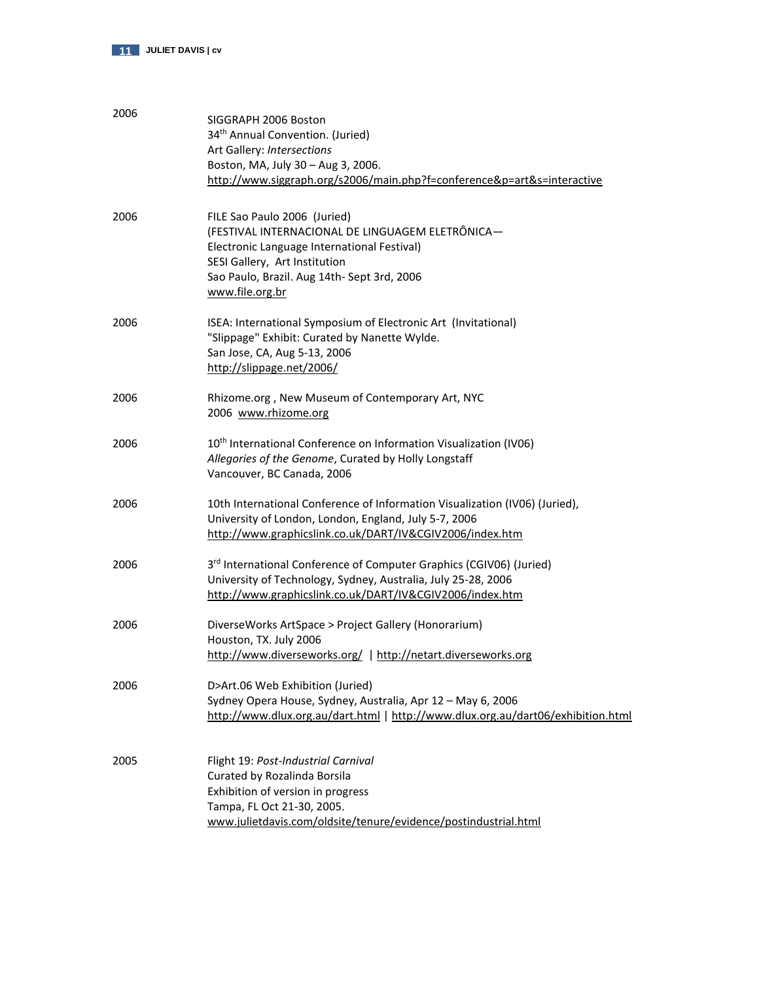

| 2006 | SIGGRAPH 2006 Boston<br>34 <sup>th</sup> Annual Convention. (Juried)<br>Art Gallery: Intersections<br>Boston, MA, July 30 - Aug 3, 2006.<br>http://www.siggraph.org/s2006/main.php?f=conference&p=art&s=interactive                |
|------|------------------------------------------------------------------------------------------------------------------------------------------------------------------------------------------------------------------------------------|
| 2006 | FILE Sao Paulo 2006 (Juried)<br>(FESTIVAL INTERNACIONAL DE LINGUAGEM ELETRÔNICA-<br>Electronic Language International Festival)<br>SESI Gallery, Art Institution<br>Sao Paulo, Brazil. Aug 14th- Sept 3rd, 2006<br>www.file.org.br |
| 2006 | ISEA: International Symposium of Electronic Art (Invitational)<br>"Slippage" Exhibit: Curated by Nanette Wylde.<br>San Jose, CA, Aug 5-13, 2006<br>http://slippage.net/2006/                                                       |
| 2006 | Rhizome.org, New Museum of Contemporary Art, NYC<br>2006 www.rhizome.org                                                                                                                                                           |
| 2006 | 10 <sup>th</sup> International Conference on Information Visualization (IV06)<br>Allegories of the Genome, Curated by Holly Longstaff<br>Vancouver, BC Canada, 2006                                                                |
| 2006 | 10th International Conference of Information Visualization (IV06) (Juried),<br>University of London, London, England, July 5-7, 2006<br>http://www.graphicslink.co.uk/DART/IV&CGIV2006/index.htm                                   |
| 2006 | 3rd International Conference of Computer Graphics (CGIV06) (Juried)<br>University of Technology, Sydney, Australia, July 25-28, 2006<br>http://www.graphicslink.co.uk/DART/IV&CGIV2006/index.htm                                   |
| 2006 | DiverseWorks ArtSpace > Project Gallery (Honorarium)<br>Houston, TX. July 2006<br>http://www.diverseworks.org/   http://netart.diverseworks.org                                                                                    |
| 2006 | D>Art.06 Web Exhibition (Juried)<br>Sydney Opera House, Sydney, Australia, Apr 12 - May 6, 2006<br>http://www.dlux.org.au/dart.html   http://www.dlux.org.au/dart06/exhibition.html                                                |
| 2005 | Flight 19: Post-Industrial Carnival<br>Curated by Rozalinda Borsila<br>Exhibition of version in progress<br>Tampa, FL Oct 21-30, 2005.<br>www.julietdavis.com/oldsite/tenure/evidence/postindustrial.html                          |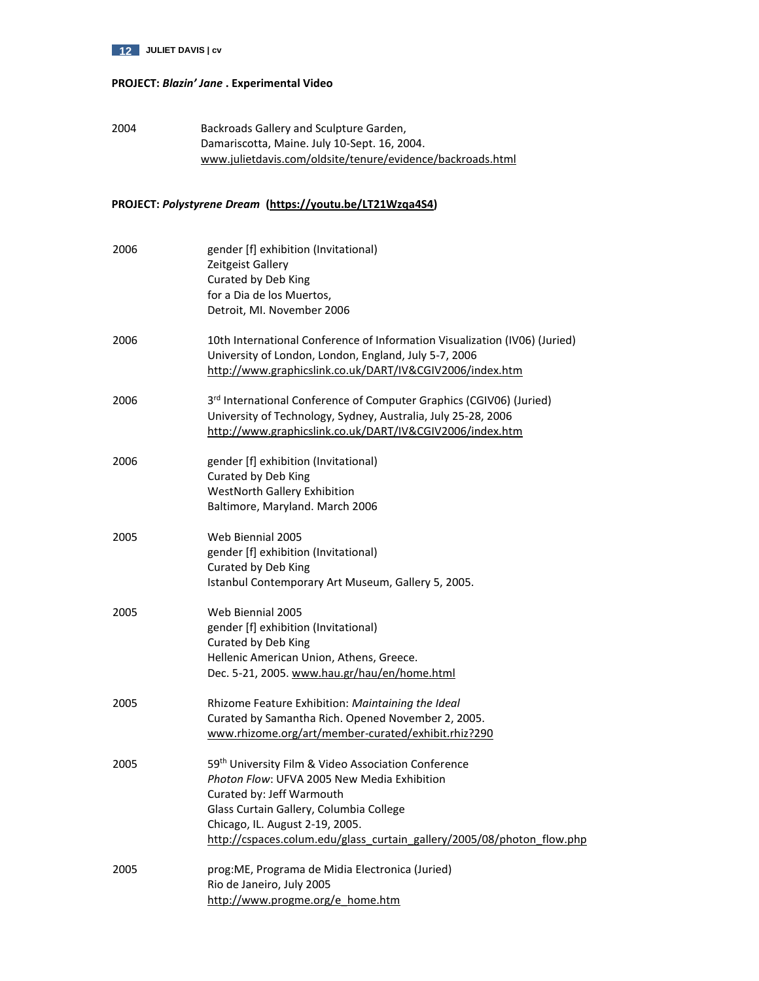

# **PROJECT:** *Blazin' Jane* **. Experimental Video**

2004 Backroads Gallery and Sculpture Garden, Damariscotta, Maine. July 10-Sept. 16, 2004. [www.julietdavis.com/oldsite/tenure/evidence/backroads.html](http://www.julietdavis.com/oldsite/tenure/evidence/backroads.html)

# **PROJECT:** *Polystyrene Dream* **[\(https://youtu.be/LT21Wzqa4S4\)](https://youtu.be/LT21Wzqa4S4)**

| 2006 | gender [f] exhibition (Invitational)<br>Zeitgeist Gallery<br>Curated by Deb King<br>for a Dia de los Muertos,<br>Detroit, MI. November 2006                                                                                                                                             |
|------|-----------------------------------------------------------------------------------------------------------------------------------------------------------------------------------------------------------------------------------------------------------------------------------------|
| 2006 | 10th International Conference of Information Visualization (IV06) (Juried)<br>University of London, London, England, July 5-7, 2006<br>http://www.graphicslink.co.uk/DART/IV&CGIV2006/index.htm                                                                                         |
| 2006 | 3rd International Conference of Computer Graphics (CGIV06) (Juried)<br>University of Technology, Sydney, Australia, July 25-28, 2006<br>http://www.graphicslink.co.uk/DART/IV&CGIV2006/index.htm                                                                                        |
| 2006 | gender [f] exhibition (Invitational)<br>Curated by Deb King<br>WestNorth Gallery Exhibition<br>Baltimore, Maryland. March 2006                                                                                                                                                          |
| 2005 | Web Biennial 2005<br>gender [f] exhibition (Invitational)<br>Curated by Deb King<br>Istanbul Contemporary Art Museum, Gallery 5, 2005.                                                                                                                                                  |
| 2005 | Web Biennial 2005<br>gender [f] exhibition (Invitational)<br>Curated by Deb King<br>Hellenic American Union, Athens, Greece.<br>Dec. 5-21, 2005. www.hau.gr/hau/en/home.html                                                                                                            |
| 2005 | Rhizome Feature Exhibition: Maintaining the Ideal<br>Curated by Samantha Rich. Opened November 2, 2005.<br>www.rhizome.org/art/member-curated/exhibit.rhiz?290                                                                                                                          |
| 2005 | 59th University Film & Video Association Conference<br>Photon Flow: UFVA 2005 New Media Exhibition<br>Curated by: Jeff Warmouth<br>Glass Curtain Gallery, Columbia College<br>Chicago, IL. August 2-19, 2005.<br>http://cspaces.colum.edu/glass_curtain_gallery/2005/08/photon_flow.php |
| 2005 | prog: ME, Programa de Midia Electronica (Juried)<br>Rio de Janeiro, July 2005<br>http://www.progme.org/e home.htm                                                                                                                                                                       |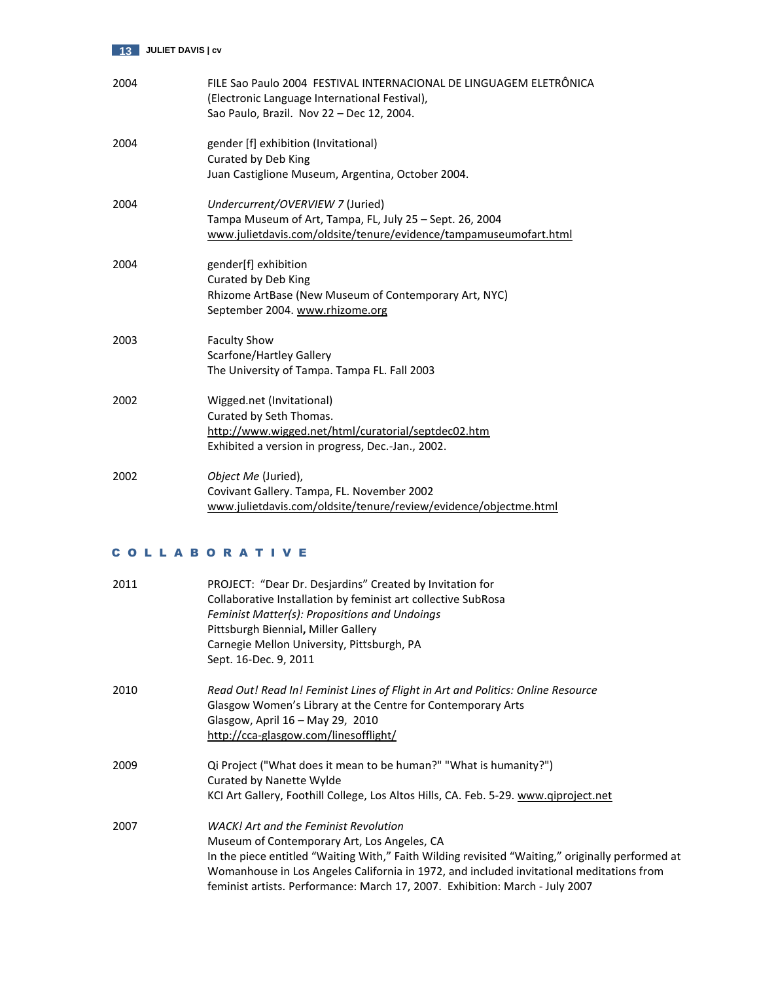

| 2004 | FILE Sao Paulo 2004 FESTIVAL INTERNACIONAL DE LINGUAGEM ELETRÔNICA<br>(Electronic Language International Festival),<br>Sao Paulo, Brazil. Nov 22 - Dec 12, 2004.  |
|------|-------------------------------------------------------------------------------------------------------------------------------------------------------------------|
| 2004 | gender [f] exhibition (Invitational)<br>Curated by Deb King<br>Juan Castiglione Museum, Argentina, October 2004.                                                  |
| 2004 | Undercurrent/OVERVIEW 7 (Juried)<br>Tampa Museum of Art, Tampa, FL, July 25 - Sept. 26, 2004<br>www.julietdavis.com/oldsite/tenure/evidence/tampamuseumofart.html |
| 2004 | gender[f] exhibition<br>Curated by Deb King<br>Rhizome ArtBase (New Museum of Contemporary Art, NYC)<br>September 2004. www.rhizome.org                           |
| 2003 | <b>Faculty Show</b><br>Scarfone/Hartley Gallery<br>The University of Tampa. Tampa FL. Fall 2003                                                                   |
| 2002 | Wigged.net (Invitational)<br>Curated by Seth Thomas.<br>http://www.wigged.net/html/curatorial/septdec02.htm<br>Exhibited a version in progress, Dec.-Jan., 2002.  |
| 2002 | Object Me (Juried),<br>Covivant Gallery. Tampa, FL. November 2002<br>www.julietdavis.com/oldsite/tenure/review/evidence/objectme.html                             |

# C O L L A B O R A T I V E

| 2011 | PROJECT: "Dear Dr. Desjardins" Created by Invitation for<br>Collaborative Installation by feminist art collective SubRosa<br>Feminist Matter(s): Propositions and Undoings<br>Pittsburgh Biennial, Miller Gallery<br>Carnegie Mellon University, Pittsburgh, PA<br>Sept. 16-Dec. 9, 2011                                                                                    |
|------|-----------------------------------------------------------------------------------------------------------------------------------------------------------------------------------------------------------------------------------------------------------------------------------------------------------------------------------------------------------------------------|
| 2010 | Read Out! Read In! Feminist Lines of Flight in Art and Politics: Online Resource<br>Glasgow Women's Library at the Centre for Contemporary Arts<br>Glasgow, April 16 - May 29, 2010<br>http://cca-glasgow.com/linesofflight/                                                                                                                                                |
| 2009 | Qi Project ("What does it mean to be human?" "What is humanity?")<br>Curated by Nanette Wylde<br>KCI Art Gallery, Foothill College, Los Altos Hills, CA. Feb. 5-29. www.qiproject.net                                                                                                                                                                                       |
| 2007 | <b>WACK!</b> Art and the Feminist Revolution<br>Museum of Contemporary Art, Los Angeles, CA<br>In the piece entitled "Waiting With," Faith Wilding revisited "Waiting," originally performed at<br>Womanhouse in Los Angeles California in 1972, and included invitational meditations from<br>feminist artists. Performance: March 17, 2007. Exhibition: March - July 2007 |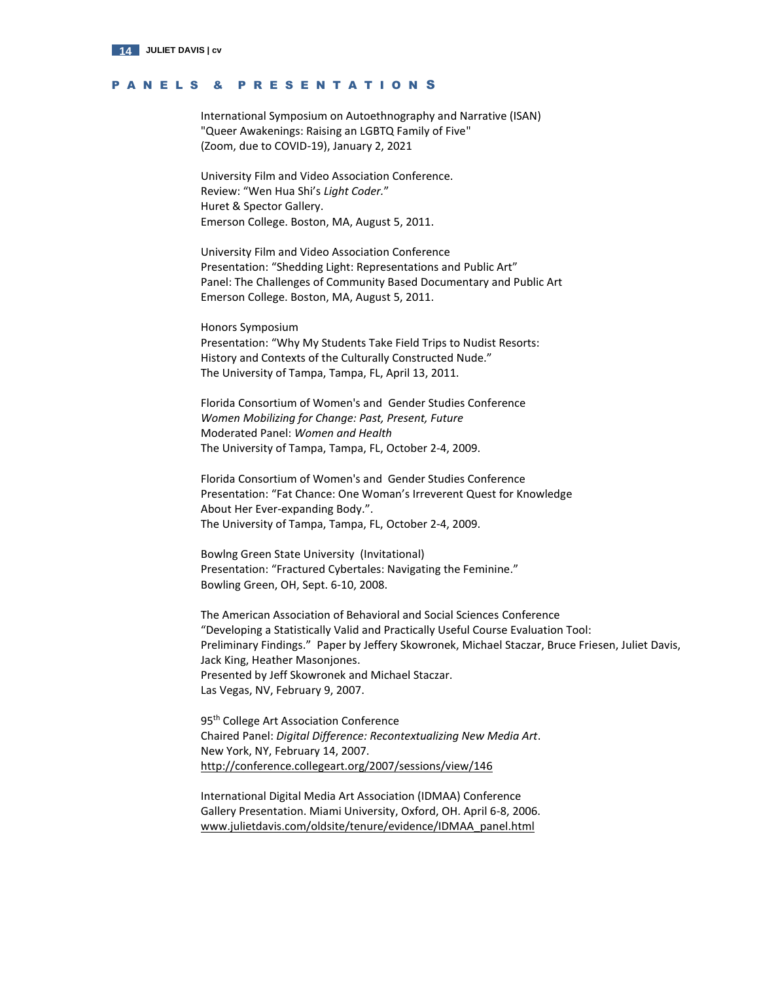

# P A N E L S & P R E S E N T A T I O N S

[International Symposium on Autoethnography and Narrative \(ISAN\)](https://www.digitalmeasures.com/login/ut/sso/app/activities/instruments/1196/screens/1392054/records/221259319296?_s=0) ["Queer Awakenings: Raising an LGBTQ Family of Five"](https://www.digitalmeasures.com/login/ut/sso/app/activities/instruments/1196/screens/1392054/records/221259319296?_s=0) [\(Zoom, due to COVID-19\), January 2, 2021](https://www.digitalmeasures.com/login/ut/sso/app/activities/instruments/1196/screens/1392054/records/221259319296?_s=0)

University Film and Video Association Conference. Review: "Wen Hua Shi's *Light Coder.*" Huret & Spector Gallery. Emerson College. Boston, MA, August 5, 2011.

University Film and Video Association Conference Presentation: "Shedding Light: Representations and Public Art" Panel: The Challenges of Community Based Documentary and Public Art Emerson College. Boston, MA, August 5, 2011.

Honors Symposium Presentation: "Why My Students Take Field Trips to Nudist Resorts: History and Contexts of the Culturally Constructed Nude." The University of Tampa, Tampa, FL, April 13, 2011.

Florida Consortium of Women's and Gender Studies Conference *Women Mobilizing for Change: Past, Present, Future* Moderated Panel: *Women and Health* The University of Tampa, Tampa, FL, October 2-4, 2009.

Florida Consortium of Women's and Gender Studies Conference Presentation: "Fat Chance: One Woman's Irreverent Quest for Knowledge About Her Ever-expanding Body.". The University of Tampa, Tampa, FL, October 2-4, 2009.

Bowlng Green State University (Invitational) Presentation: "Fractured Cybertales: Navigating the Feminine." Bowling Green, OH, Sept. 6-10, 2008.

The American Association of Behavioral and Social Sciences Conference "Developing a Statistically Valid and Practically Useful Course Evaluation Tool: Preliminary Findings." Paper by Jeffery Skowronek, Michael Staczar, Bruce Friesen, Juliet Davis, Jack King, Heather Masonjones. Presented by Jeff Skowronek and Michael Staczar. Las Vegas, NV, February 9, 2007.

95<sup>th</sup> College Art Association Conference Chaired Panel: *Digital Difference: Recontextualizing New Media Art*. New York, NY, February 14, 2007. http://conference.collegeart.org/2007/sessions/view/146

International Digital Media Art Association (IDMAA) Conference Gallery Presentation. Miami University, Oxford, OH. April 6-8, 2006. [www.julietdavis.com/oldsite/tenure/evidence/IDMAA\\_panel.html](http://www.julietdavis.com/oldsite/tenure/evidence/IDMAA_panel.html)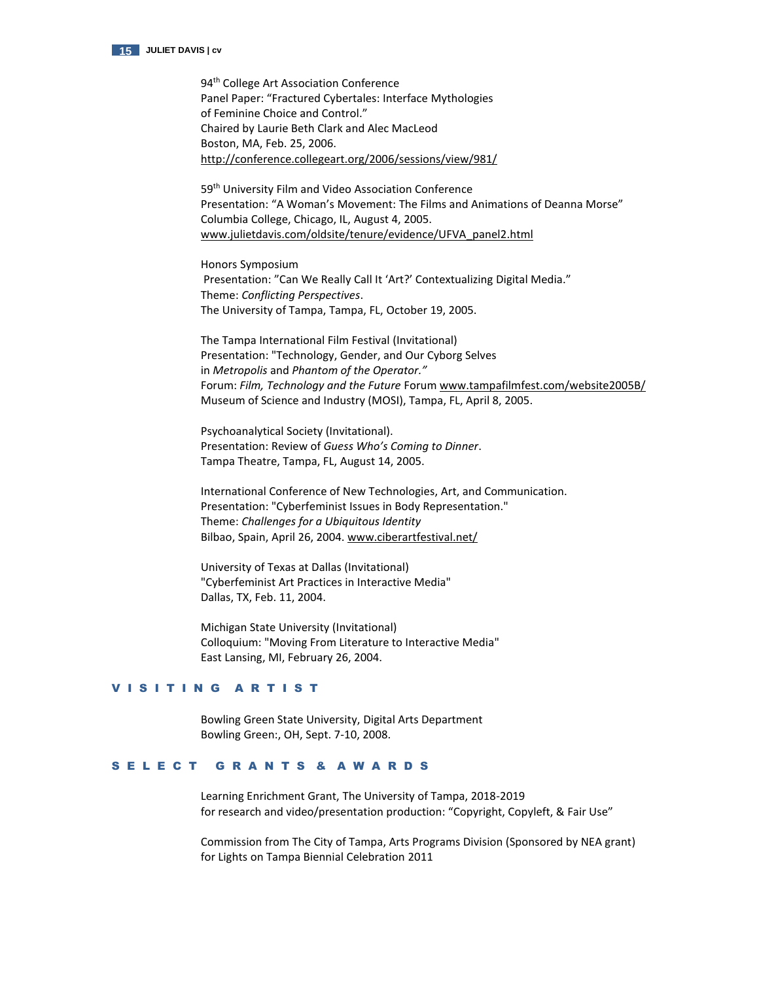

94<sup>th</sup> College Art Association Conference Panel Paper: "Fractured Cybertales: Interface Mythologies of Feminine Choice and Control." Chaired by Laurie Beth Clark and Alec MacLeod Boston, MA, Feb. 25, 2006. <http://conference.collegeart.org/2006/sessions/view/981/>

59<sup>th</sup> University Film and Video Association Conference Presentation: "A Woman's Movement: The Films and Animations of Deanna Morse" Columbia College, Chicago, IL, August 4, 2005. [www.julietdavis.com/oldsite/tenure/evidence/UFVA\\_panel2.html](http://www.julietdavis.com/oldsite/tenure/evidence/UFVA_panel2.html)

Honors Symposium Presentation: "Can We Really Call It 'Art?' Contextualizing Digital Media." Theme: *Conflicting Perspectives*. The University of Tampa, Tampa, FL, October 19, 2005.

The Tampa International Film Festival (Invitational) Presentation: "Technology, Gender, and Our Cyborg Selves in *Metropolis* and *Phantom of the Operator."* Forum: *Film, Technology and the Future* Foru[m www.tampafilmfest.com/website2005B/](http://www.tampafilmfest.com/website2005B/) Museum of Science and Industry (MOSI), Tampa, FL, April 8, 2005.

Psychoanalytical Society (Invitational). Presentation: Review of *Guess Who's Coming to Dinner*. Tampa Theatre, Tampa, FL, August 14, 2005.

 International Conference of New Technologies, Art, and Communication. Presentation: "Cyberfeminist Issues in Body Representation." Theme: *Challenges for a Ubiquitous Identity* Bilbao, Spain, April 26, 2004[. www.ciberartfestival.net/](http://www.ciberartfestival.net/)

 University of Texas at Dallas (Invitational) "Cyberfeminist Art Practices in Interactive Media" Dallas, TX, Feb. 11, 2004.

Michigan State University (Invitational) Colloquium: "Moving From Literature to Interactive Media" East Lansing, MI, February 26, 2004.

# VISITING ARTIST

Bowling Green State University, Digital Arts Department Bowling Green:, OH, Sept. 7-10, 2008.

# S E L E C T G R A N T S & A W A R D S

Learning Enrichment Grant, The University of Tampa, 2018-2019 for research and video/presentation production: "Copyright, Copyleft, & Fair Use"

Commission from The City of Tampa, Arts Programs Division (Sponsored by NEA grant) for Lights on Tampa Biennial Celebration 2011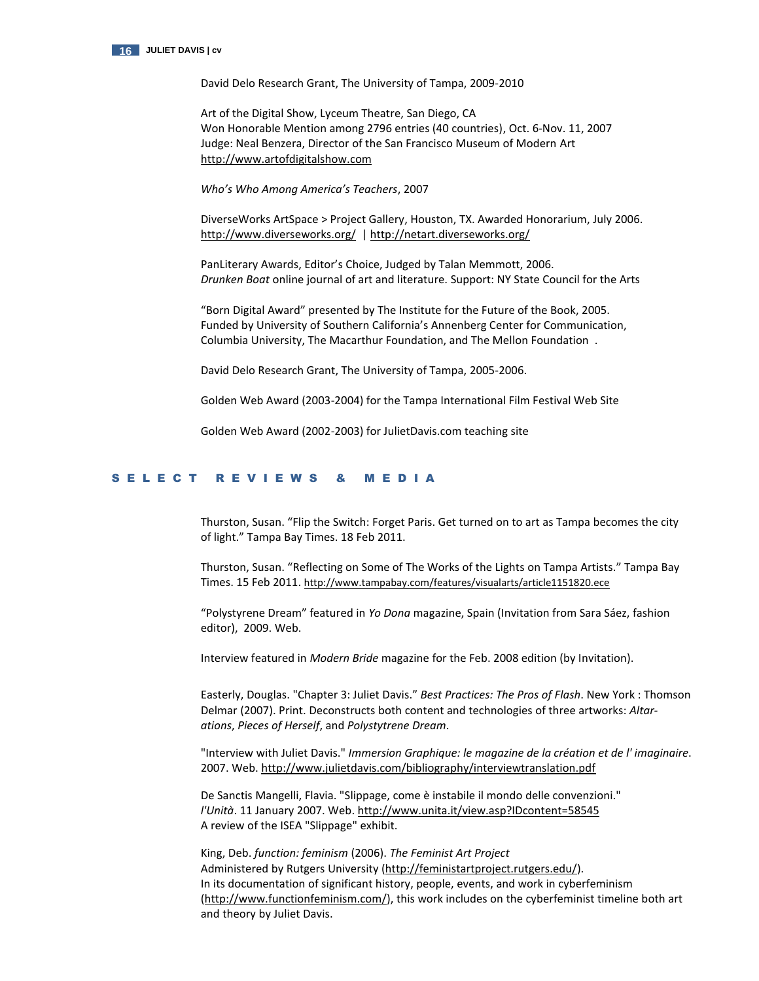

David Delo Research Grant, The University of Tampa, 2009-2010

Art of the Digital Show, Lyceum Theatre, San Diego, CA Won Honorable Mention among 2796 entries (40 countries), Oct. 6-Nov. 11, 2007 Judge: Neal Benzera, Director of the San Francisco Museum of Modern Art [http://www.artofdigitalshow.com](http://www.artofdigitalshow.com/)

*Who's Who Among America's Teachers*, 2007

DiverseWorks ArtSpace > Project Gallery, Houston, TX. Awarded Honorarium, July 2006. <http://www.diverseworks.org/>[| http://netart.diverseworks.org/](http://netart.diverseworks.org/)

PanLiterary Awards, Editor's Choice, Judged by Talan Memmott, 2006. *Drunken Boat* online journal of art and literature. Support: NY State Council for the Arts

"Born Digital Award" presented by The Institute for the Future of the Book, 2005. Funded by University of Southern California's Annenberg Center for Communication, Columbia University, The Macarthur Foundation, and The Mellon Foundation .

David Delo Research Grant, The University of Tampa, 2005-2006.

Golden Web Award (2003-2004) for the Tampa International Film Festival Web Site

Golden Web Award (2002-2003) for JulietDavis.com teaching site

# S E L E C T R E V I E W S & M E D I A

Thurston, Susan. "Flip the Switch: Forget Paris. Get turned on to art as Tampa becomes the city of light." Tampa Bay Times. 18 Feb 2011.

Thurston, Susan. "Reflecting on Some of The Works of the Lights on Tampa Artists." Tampa Bay Times. 15 Feb 2011. <http://www.tampabay.com/features/visualarts/article1151820.ece>

"Polystyrene Dream" featured in *Yo Dona* magazine, Spain (Invitation from Sara Sáez, fashion editor), 2009. Web.

Interview featured in *Modern Bride* magazine for the Feb. 2008 edition (by Invitation).

Easterly, Douglas. "Chapter 3: Juliet Davis." *Best Practices: The Pros of Flash*. New York : Thomson Delmar (2007). Print. Deconstructs both content and technologies of three artworks: *Altarations*, *Pieces of Herself*, and *Polystytrene Dream*.

"Interview with Juliet Davis." *Immersion Graphique: le magazine de la création et de l' imaginaire*. 2007. Web. <http://www.julietdavis.com/bibliography/interviewtranslation.pdf>

De Sanctis Mangelli, Flavia. "Slippage, come è instabile il mondo delle convenzioni." *l'Unità*. 11 January 2007. Web. <http://www.unita.it/view.asp?IDcontent=58545> A review of the ISEA "Slippage" exhibit.

King, Deb. *function: feminism* (2006). *The Feminist Art Project* Administered by Rutgers University [\(http://feministartproject.rutgers.edu/\)](http://feministartproject.rutgers.edu/). In its documentation of significant history, people, events, and work in cyberfeminism [\(http://www.functionfeminism.com/\)](http://www.functionfeminism.com/), this work includes on the cyberfeminist timeline both art and theory by Juliet Davis.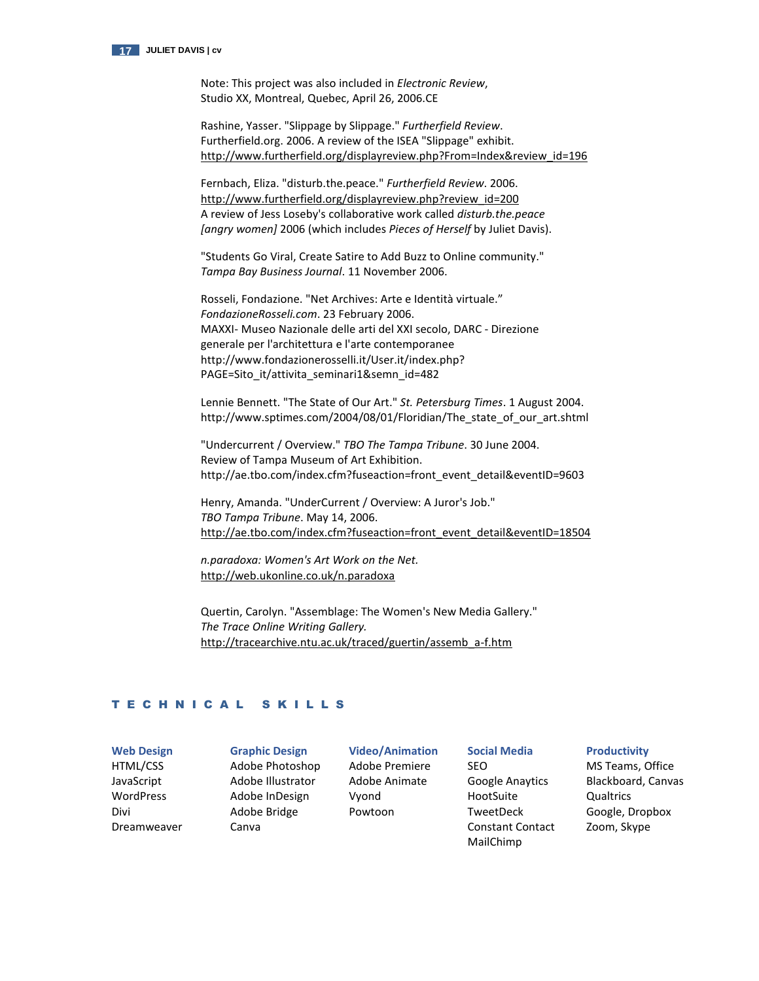

Note: This project was also included in *Electronic Review*, Studio XX, Montreal, Quebec, April 26, 2006.CE

Rashine, Yasser. "Slippage by Slippage." *Furtherfield Review*. Furtherfield.org. 2006. A review of the ISEA "Slippage" exhibit. [http://www.furtherfield.org/displayreview.php?From=Index&review\\_id=196](http://www.furtherfield.org/displayreview.php?From=Index&review_id=196) 

Fernbach, Eliza. "disturb.the.peace." *Furtherfield Review*. 2006. [http://www.furtherfield.org/displayreview.php?review\\_id=200](http://www.furtherfield.org/displayreview.php?review_id=200)  A review of Jess Loseby's collaborative work called *disturb.the.peace [angry women]* 2006 (which includes *Pieces of Herself* by Juliet Davis).

"Students Go Viral, Create Satire to Add Buzz to Online community." *Tampa Bay Business Journal*. 11 November 2006.

Rosseli, Fondazione. "Net Archives: Arte e Identità virtuale." *FondazioneRosseli.com*. 23 February 2006. MAXXI- Museo Nazionale delle arti del XXI secolo, DARC - Direzione generale per l'architettura e l'arte contemporanee http://www.fondazionerosselli.it/User.it/index.php? PAGE=Sito\_it/attivita\_seminari1&semn\_id=482

Lennie Bennett. "The State of Our Art." *St. Petersburg Times*. 1 August 2004. http://www.sptimes.com/2004/08/01/Floridian/The\_state\_of\_our\_art.shtml

"Undercurrent / Overview." *TBO The Tampa Tribune*. 30 June 2004. Review of Tampa Museum of Art Exhibition. http://ae.tbo.com/index.cfm?fuseaction=front\_event\_detail&eventID=9603

Henry, Amanda. "UnderCurrent / Overview: A Juror's Job." *TBO Tampa Tribune*. May 14, 2006. [http://ae.tbo.com/index.cfm?fuseaction=front\\_event\\_detail&eventID=18504](http://ae.tbo.com/index.cfm?fuseaction=front_event_detail&eventID=18504)

*n.paradoxa: Women's Art Work on the Net.* <http://web.ukonline.co.uk/n.paradoxa>

Quertin, Carolyn. "Assemblage: The Women's New Media Gallery." *The Trace Online Writing Gallery.* [http://tracearchive.ntu.ac.uk/traced/guertin/assemb\\_a-f.htm](http://tracearchive.ntu.ac.uk/traced/guertin/assemb_a-f.htm)

# T E C H N I C A L S K I L L S

**Web Design**  HTML/CSS JavaScript WordPress Divi Dreamweaver

**Graphic Design** Adobe Photoshop Adobe Illustrator Adobe InDesign Adobe Bridge Canva

**Video/Animation**  Adobe Premiere Adobe Animate Vyond Powtoon

**Social Media** SEO Google Anaytics HootSuite TweetDeck Constant Contact MailChimp

### **Productivity**

MS Teams, Office Blackboard, Canvas **Qualtrics** Google, Dropbox Zoom, Skype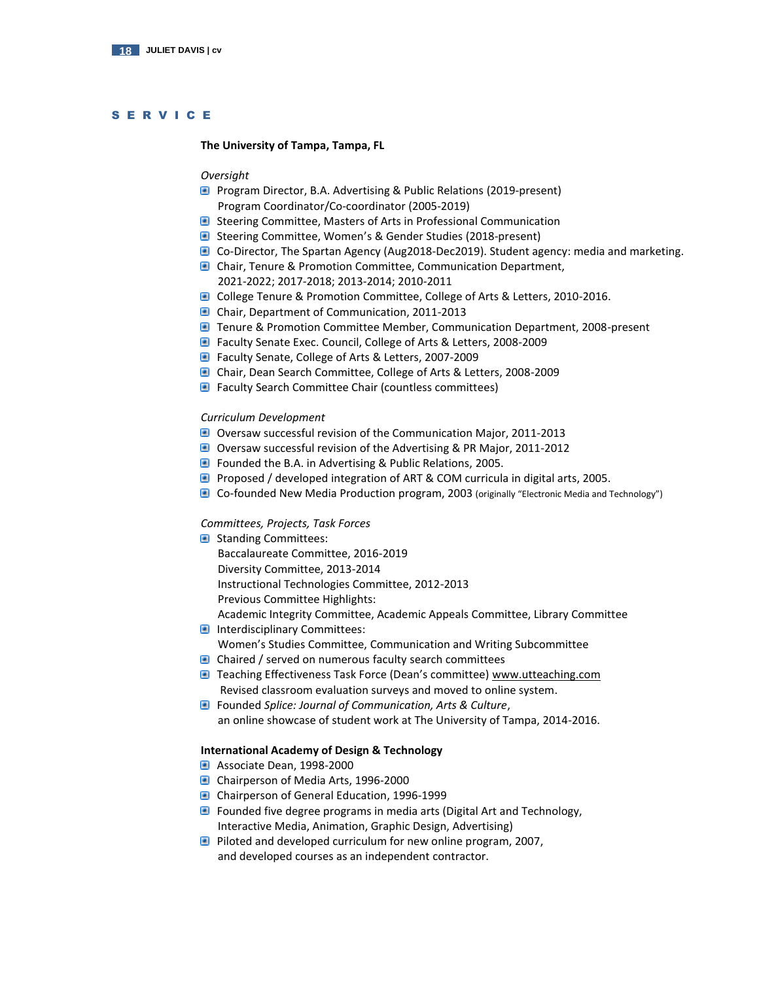# S E R V I C E

### **The University of Tampa, Tampa, FL**

# *Oversight*

- **P** Program Director, B.A. Advertising & Public Relations (2019-present) Program Coordinator/Co-coordinator (2005-2019)
- **B** Steering Committee, Masters of Arts in Professional Communication
- Steering Committee, Women's & Gender Studies (2018-present)
- Co-Director, The Spartan Agency (Aug2018-Dec2019). Student agency: media and marketing.
- **C** Chair, Tenure & Promotion Committee, Communication Department, 2021-2022; 2017-2018; 2013-2014; 2010-2011
- **College Tenure & Promotion Committee, College of Arts & Letters, 2010-2016.**
- Chair, Department of Communication, 2011-2013
- **T** Tenure & Promotion Committee Member, Communication Department, 2008-present
- Faculty Senate Exec. Council, College of Arts & Letters, 2008-2009
- Faculty Senate, College of Arts & Letters, 2007-2009
- **Chair, Dean Search Committee, College of Arts & Letters, 2008-2009**
- **Faculty Search Committee Chair (countless committees)**

### *Curriculum Development*

- Oversaw successful revision of the Communication Major, 2011-2013
- Oversaw successful revision of the Advertising & PR Major, 2011-2012
- Founded the B.A. in Advertising & Public Relations, 2005.
- **Proposed / developed integration of ART & COM curricula in digital arts, 2005.**
- Co-founded New Media Production program, 2003 (originally "Electronic Media and Technology")

# *Committees, Projects, Task Forces*

- **Standing Committees:**  Baccalaureate Committee, 2016-2019 Diversity Committee, 2013-2014 Instructional Technologies Committee, 2012-2013 Previous Committee Highlights:
- Academic Integrity Committee, Academic Appeals Committee, Library Committee **Interdisciplinary Committees:**
- Women's Studies Committee, Communication and Writing Subcommittee
- Chaired / served on numerous faculty search committees
- **Teaching Effectiveness Task Force (Dean's committee)** [www.utteaching.com](http://www.utteaching.com/) Revised classroom evaluation surveys and moved to online system.
- Founded *Splice: Journal of Communication, Arts & Culture*, an online showcase of student work at The University of Tampa, 2014-2016.

## **International Academy of Design & Technology**

- Associate Dean, 1998-2000
- Chairperson of Media Arts, 1996-2000
- Chairperson of General Education, 1996-1999
- **Founded five degree programs in media arts (Digital Art and Technology,** Interactive Media, Animation, Graphic Design, Advertising)
- **P** Piloted and developed curriculum for new online program, 2007, and developed courses as an independent contractor.